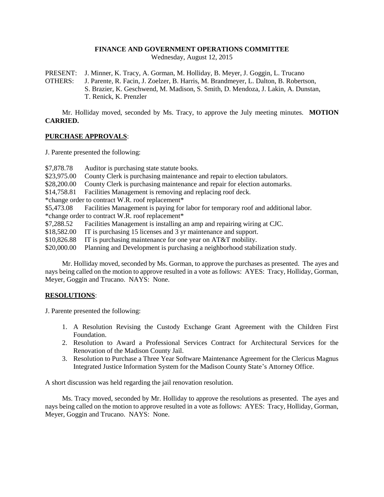## **FINANCE AND GOVERNMENT OPERATIONS COMMITTEE**

Wednesday, August 12, 2015

PRESENT: J. Minner, K. Tracy, A. Gorman, M. Holliday, B. Meyer, J. Goggin, L. Trucano OTHERS: J. Parente, R. Facin, J. Zoelzer, B. Harris, M. Brandmeyer, L. Dalton, B. Robertson, S. Brazier, K. Geschwend, M. Madison, S. Smith, D. Mendoza, J. Lakin, A. Dunstan, T. Renick, K. Prenzler

Mr. Holliday moved, seconded by Ms. Tracy, to approve the July meeting minutes. **MOTION CARRIED.**

## **PURCHASE APPROVALS**:

J. Parente presented the following:

\$7,878.78 Auditor is purchasing state statute books.

\$23,975.00 County Clerk is purchasing maintenance and repair to election tabulators.

\$28,200.00 County Clerk is purchasing maintenance and repair for election automarks.

\$14,758.81 Facilities Management is removing and replacing roof deck.

\*change order to contract W.R. roof replacement\*

\$5,473.08 Facilities Management is paying for labor for temporary roof and additional labor. \*change order to contract W.R. roof replacement\*

\$7,288.52 Facilities Management is installing an amp and repairing wiring at CJC.

\$18,582.00 IT is purchasing 15 licenses and 3 yr maintenance and support.

\$10,826.88 IT is purchasing maintenance for one year on AT&T mobility.

\$20,000.00 Planning and Development is purchasing a neighborhood stabilization study.

Mr. Holliday moved, seconded by Ms. Gorman, to approve the purchases as presented. The ayes and nays being called on the motion to approve resulted in a vote as follows: AYES: Tracy, Holliday, Gorman, Meyer, Goggin and Trucano. NAYS: None.

## **RESOLUTIONS**:

J. Parente presented the following:

- 1. A Resolution Revising the Custody Exchange Grant Agreement with the Children First Foundation.
- 2. Resolution to Award a Professional Services Contract for Architectural Services for the Renovation of the Madison County Jail.
- 3. Resolution to Purchase a Three Year Software Maintenance Agreement for the Clericus Magnus Integrated Justice Information System for the Madison County State's Attorney Office.

A short discussion was held regarding the jail renovation resolution.

Ms. Tracy moved, seconded by Mr. Holliday to approve the resolutions as presented. The ayes and nays being called on the motion to approve resulted in a vote as follows: AYES: Tracy, Holliday, Gorman, Meyer, Goggin and Trucano. NAYS: None.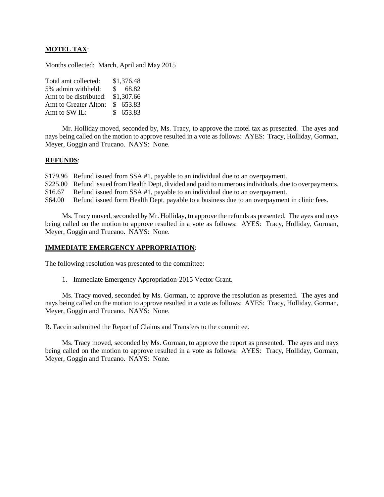# **MOTEL TAX**:

Months collected: March, April and May 2015

| Total amt collected:   | \$1,376.48            |
|------------------------|-----------------------|
| 5% admin withheld:     | 68.82<br>$\mathbf{s}$ |
| Amt to be distributed: | \$1,307.66            |
| Amt to Greater Alton:  | \$653.83              |
| Amt to SW IL:          | \$653.83              |

Mr. Holliday moved, seconded by, Ms. Tracy, to approve the motel tax as presented. The ayes and nays being called on the motion to approve resulted in a vote as follows: AYES: Tracy, Holliday, Gorman, Meyer, Goggin and Trucano. NAYS: None.

### **REFUNDS**:

\$179.96 Refund issued from SSA #1, payable to an individual due to an overpayment.

\$225.00 Refund issued from Health Dept, divided and paid to numerous individuals, due to overpayments.

\$16.67 Refund issued from SSA #1, payable to an individual due to an overpayment.

\$64.00 Refund issued form Health Dept, payable to a business due to an overpayment in clinic fees.

Ms. Tracy moved, seconded by Mr. Holliday, to approve the refunds as presented. The ayes and nays being called on the motion to approve resulted in a vote as follows: AYES: Tracy, Holliday, Gorman, Meyer, Goggin and Trucano. NAYS: None.

#### **IMMEDIATE EMERGENCY APPROPRIATION**:

The following resolution was presented to the committee:

1. Immediate Emergency Appropriation-2015 Vector Grant.

Ms. Tracy moved, seconded by Ms. Gorman, to approve the resolution as presented. The ayes and nays being called on the motion to approve resulted in a vote as follows: AYES: Tracy, Holliday, Gorman, Meyer, Goggin and Trucano. NAYS: None.

R. Faccin submitted the Report of Claims and Transfers to the committee.

Ms. Tracy moved, seconded by Ms. Gorman, to approve the report as presented. The ayes and nays being called on the motion to approve resulted in a vote as follows: AYES: Tracy, Holliday, Gorman, Meyer, Goggin and Trucano. NAYS: None.